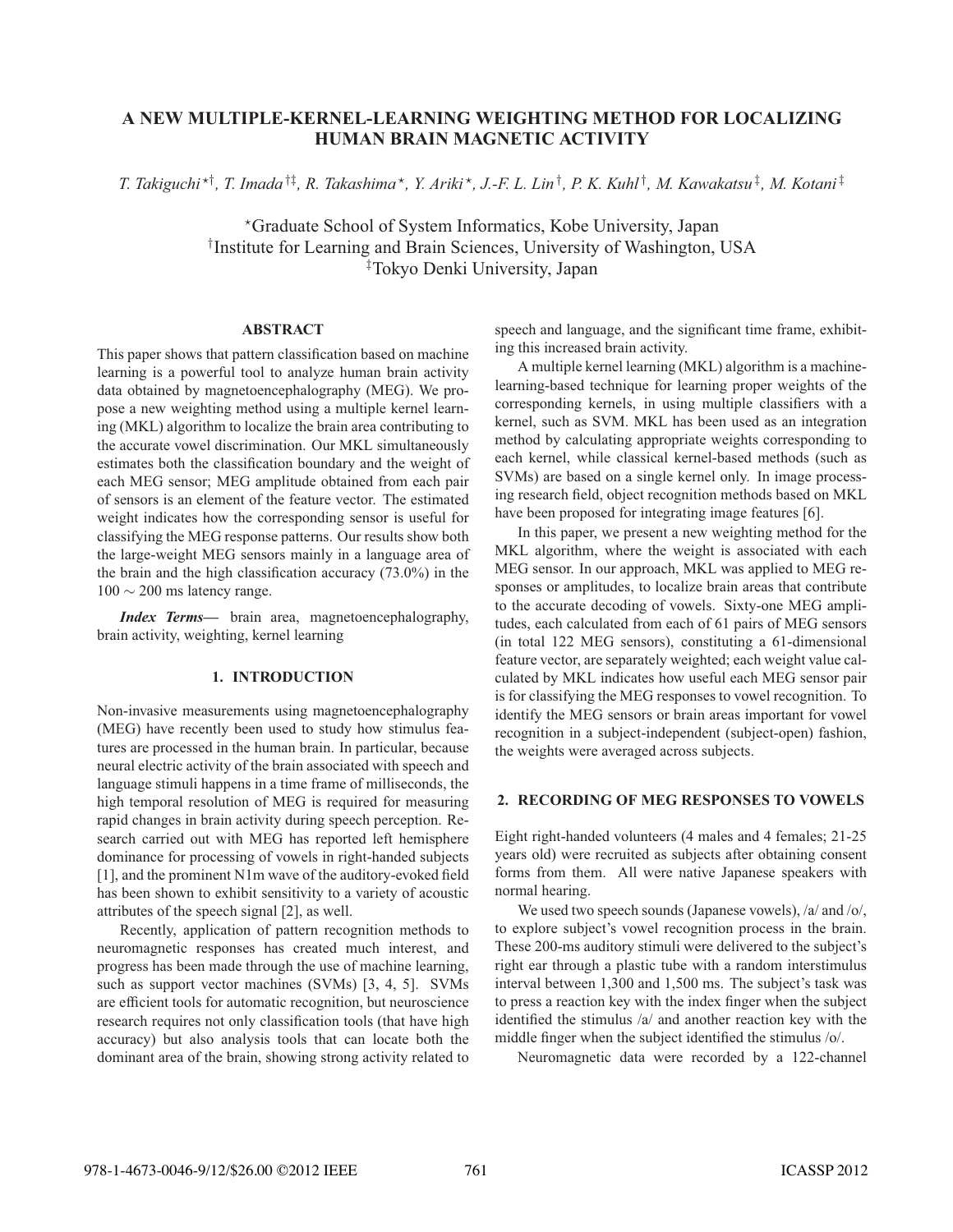# **A NEW MULTIPLE-KERNEL-LEARNING WEIGHTING METHOD FOR LOCALIZING HUMAN BRAIN MAGNETIC ACTIVITY**

*T. Takiguchi* -†*, T. Imada* †‡*, R. Takashima* -*, Y. Ariki* -*, J.-F. L. Lin* †*, P. K. Kuhl* †*, M. Kawakatsu* ‡*, M. Kotani* ‡

-Graduate School of System Informatics, Kobe University, Japan † Institute for Learning and Brain Sciences, University of Washington, USA ‡ Tokyo Denki University, Japan

# **ABSTRACT**

This paper shows that pattern classification based on machine learning is a powerful tool to analyze human brain activity data obtained by magnetoencephalography (MEG). We propose a new weighting method using a multiple kernel learning (MKL) algorithm to localize the brain area contributing to the accurate vowel discrimination. Our MKL simultaneously estimates both the classification boundary and the weight of each MEG sensor; MEG amplitude obtained from each pair of sensors is an element of the feature vector. The estimated weight indicates how the corresponding sensor is useful for classifying the MEG response patterns. Our results show both the large-weight MEG sensors mainly in a language area of the brain and the high classification accuracy (73.0%) in the  $100 \sim 200$  ms latency range.

*Index Terms***—** brain area, magnetoencephalography, brain activity, weighting, kernel learning

# **1. INTRODUCTION**

Non-invasive measurements using magnetoencephalography (MEG) have recently been used to study how stimulus features are processed in the human brain. In particular, because neural electric activity of the brain associated with speech and language stimuli happens in a time frame of milliseconds, the high temporal resolution of MEG is required for measuring rapid changes in brain activity during speech perception. Research carried out with MEG has reported left hemisphere dominance for processing of vowels in right-handed subjects [1], and the prominent N1m wave of the auditory-evoked field has been shown to exhibit sensitivity to a variety of acoustic attributes of the speech signal [2], as well.

Recently, application of pattern recognition methods to neuromagnetic responses has created much interest, and progress has been made through the use of machine learning, such as support vector machines (SVMs) [3, 4, 5]. SVMs are efficient tools for automatic recognition, but neuroscience research requires not only classification tools (that have high accuracy) but also analysis tools that can locate both the dominant area of the brain, showing strong activity related to

speech and language, and the significant time frame, exhibiting this increased brain activity.

A multiple kernel learning (MKL) algorithm is a machinelearning-based technique for learning proper weights of the corresponding kernels, in using multiple classifiers with a kernel, such as SVM. MKL has been used as an integration method by calculating appropriate weights corresponding to each kernel, while classical kernel-based methods (such as SVMs) are based on a single kernel only. In image processing research field, object recognition methods based on MKL have been proposed for integrating image features [6].

In this paper, we present a new weighting method for the MKL algorithm, where the weight is associated with each MEG sensor. In our approach, MKL was applied to MEG responses or amplitudes, to localize brain areas that contribute to the accurate decoding of vowels. Sixty-one MEG amplitudes, each calculated from each of 61 pairs of MEG sensors (in total 122 MEG sensors), constituting a 61-dimensional feature vector, are separately weighted; each weight value calculated by MKL indicates how useful each MEG sensor pair is for classifying the MEG responses to vowel recognition. To identify the MEG sensors or brain areas important for vowel recognition in a subject-independent (subject-open) fashion, the weights were averaged across subjects.

## **2. RECORDING OF MEG RESPONSES TO VOWELS**

Eight right-handed volunteers (4 males and 4 females; 21-25 years old) were recruited as subjects after obtaining consent forms from them. All were native Japanese speakers with normal hearing.

We used two speech sounds (Japanese vowels), /a/ and /o/, to explore subject's vowel recognition process in the brain. These 200-ms auditory stimuli were delivered to the subject's right ear through a plastic tube with a random interstimulus interval between 1,300 and 1,500 ms. The subject's task was to press a reaction key with the index finger when the subject identified the stimulus /a/ and another reaction key with the middle finger when the subject identified the stimulus /o/.

Neuromagnetic data were recorded by a 122-channel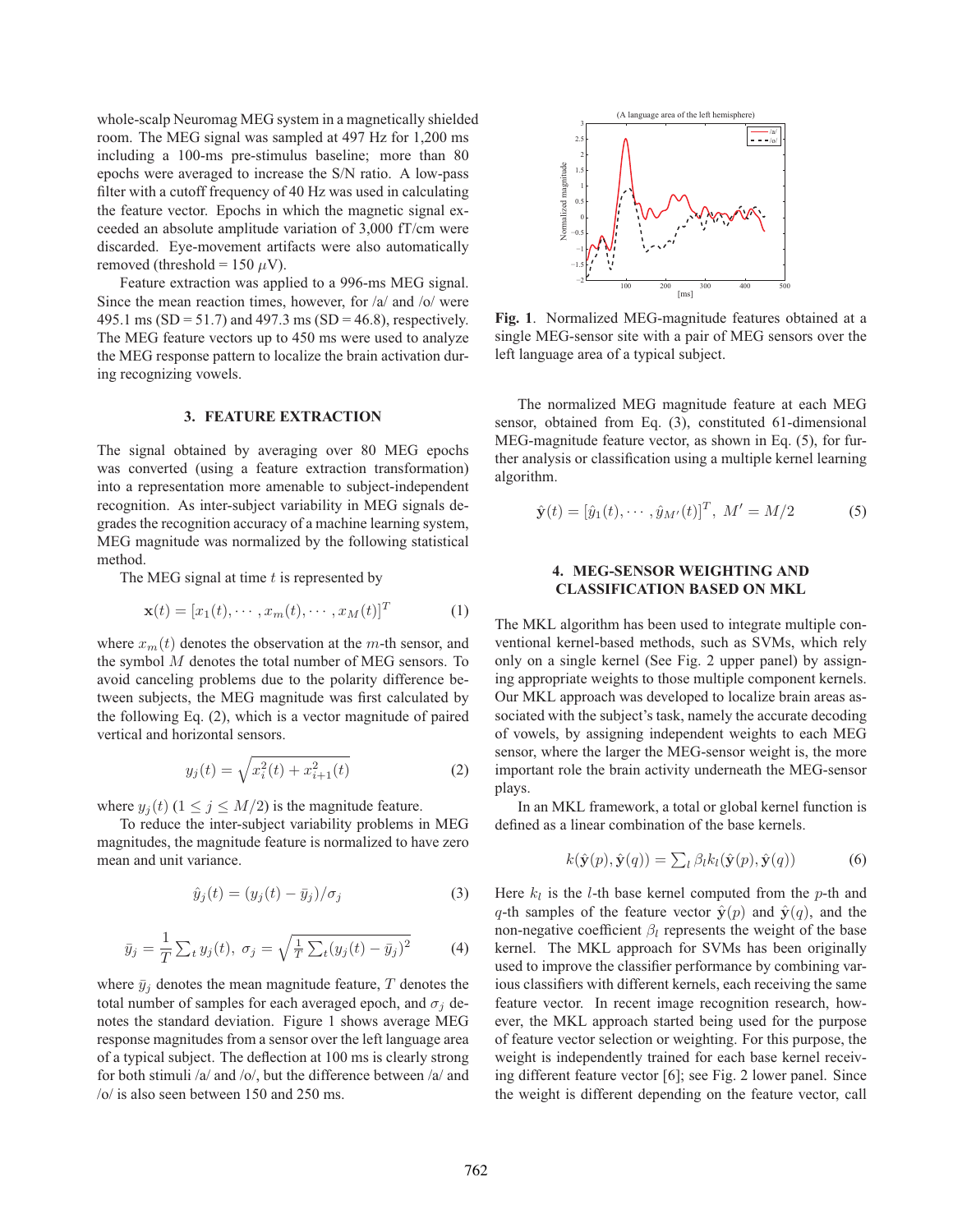whole-scalp Neuromag MEG system in a magnetically shielded room. The MEG signal was sampled at 497 Hz for 1,200 ms including a 100-ms pre-stimulus baseline; more than 80 epochs were averaged to increase the S/N ratio. A low-pass filter with a cutoff frequency of 40 Hz was used in calculating the feature vector. Epochs in which the magnetic signal exceeded an absolute amplitude variation of 3,000 fT/cm were discarded. Eye-movement artifacts were also automatically removed (threshold = 150  $\mu$ V).

Feature extraction was applied to a 996-ms MEG signal. Since the mean reaction times, however, for /a/ and /o/ were 495.1 ms (SD = 51.7) and 497.3 ms (SD = 46.8), respectively. The MEG feature vectors up to 450 ms were used to analyze the MEG response pattern to localize the brain activation during recognizing vowels.

## **3. FEATURE EXTRACTION**

The signal obtained by averaging over 80 MEG epochs was converted (using a feature extraction transformation) into a representation more amenable to subject-independent recognition. As inter-subject variability in MEG signals degrades the recognition accuracy of a machine learning system, MEG magnitude was normalized by the following statistical method.

The MEG signal at time *t* is represented by

$$
\mathbf{x}(t) = [x_1(t), \cdots, x_m(t), \cdots, x_M(t)]^T
$$
 (1)

where  $x_m(t)$  denotes the observation at the *m*-th sensor, and the symbol *M* denotes the total number of MEG sensors. To avoid canceling problems due to the polarity difference between subjects, the MEG magnitude was first calculated by the following Eq. (2), which is a vector magnitude of paired vertical and horizontal sensors.

$$
y_j(t) = \sqrt{x_i^2(t) + x_{i+1}^2(t)}
$$
 (2)

where  $y_i(t)$  ( $1 \leq j \leq M/2$ ) is the magnitude feature.

To reduce the inter-subject variability problems in MEG magnitudes, the magnitude feature is normalized to have zero mean and unit variance.

$$
\hat{y}_j(t) = (y_j(t) - \bar{y}_j) / \sigma_j \tag{3}
$$

$$
\bar{y}_j = \frac{1}{T} \sum_t y_j(t), \ \sigma_j = \sqrt{\frac{1}{T} \sum_t (y_j(t) - \bar{y}_j)^2}
$$
 (4)

where  $\bar{y}_i$  denotes the mean magnitude feature, *T* denotes the total number of samples for each averaged epoch, and  $\sigma_j$  denotes the standard deviation. Figure 1 shows average MEG response magnitudes from a sensor over the left language area of a typical subject. The deflection at 100 ms is clearly strong for both stimuli /a/ and /o/, but the difference between /a/ and /o/ is also seen between 150 and 250 ms.



**Fig. 1**. Normalized MEG-magnitude features obtained at a single MEG-sensor site with a pair of MEG sensors over the left language area of a typical subject.

The normalized MEG magnitude feature at each MEG sensor, obtained from Eq. (3), constituted 61-dimensional MEG-magnitude feature vector, as shown in Eq. (5), for further analysis or classification using a multiple kernel learning algorithm.

$$
\hat{\mathbf{y}}(t) = [\hat{y}_1(t), \cdots, \hat{y}_{M'}(t)]^T, M' = M/2
$$
 (5)

# **4. MEG-SENSOR WEIGHTING AND CLASSIFICATION BASED ON MKL**

The MKL algorithm has been used to integrate multiple conventional kernel-based methods, such as SVMs, which rely only on a single kernel (See Fig. 2 upper panel) by assigning appropriate weights to those multiple component kernels. Our MKL approach was developed to localize brain areas associated with the subject's task, namely the accurate decoding of vowels, by assigning independent weights to each MEG sensor, where the larger the MEG-sensor weight is, the more important role the brain activity underneath the MEG-sensor plays.

In an MKL framework, a total or global kernel function is defined as a linear combination of the base kernels.

$$
k(\hat{\mathbf{y}}(p), \hat{\mathbf{y}}(q)) = \sum_{l} \beta_{l} k_{l}(\hat{\mathbf{y}}(p), \hat{\mathbf{y}}(q))
$$
(6)

Here  $k_l$  is the *l*-th base kernel computed from the *p*-th and *q*-th samples of the feature vector  $\hat{y}(p)$  and  $\hat{y}(q)$ , and the non-negative coefficient  $\beta_l$  represents the weight of the base kernel. The MKL approach for SVMs has been originally used to improve the classifier performance by combining various classifiers with different kernels, each receiving the same feature vector. In recent image recognition research, however, the MKL approach started being used for the purpose of feature vector selection or weighting. For this purpose, the weight is independently trained for each base kernel receiving different feature vector [6]; see Fig. 2 lower panel. Since the weight is different depending on the feature vector, call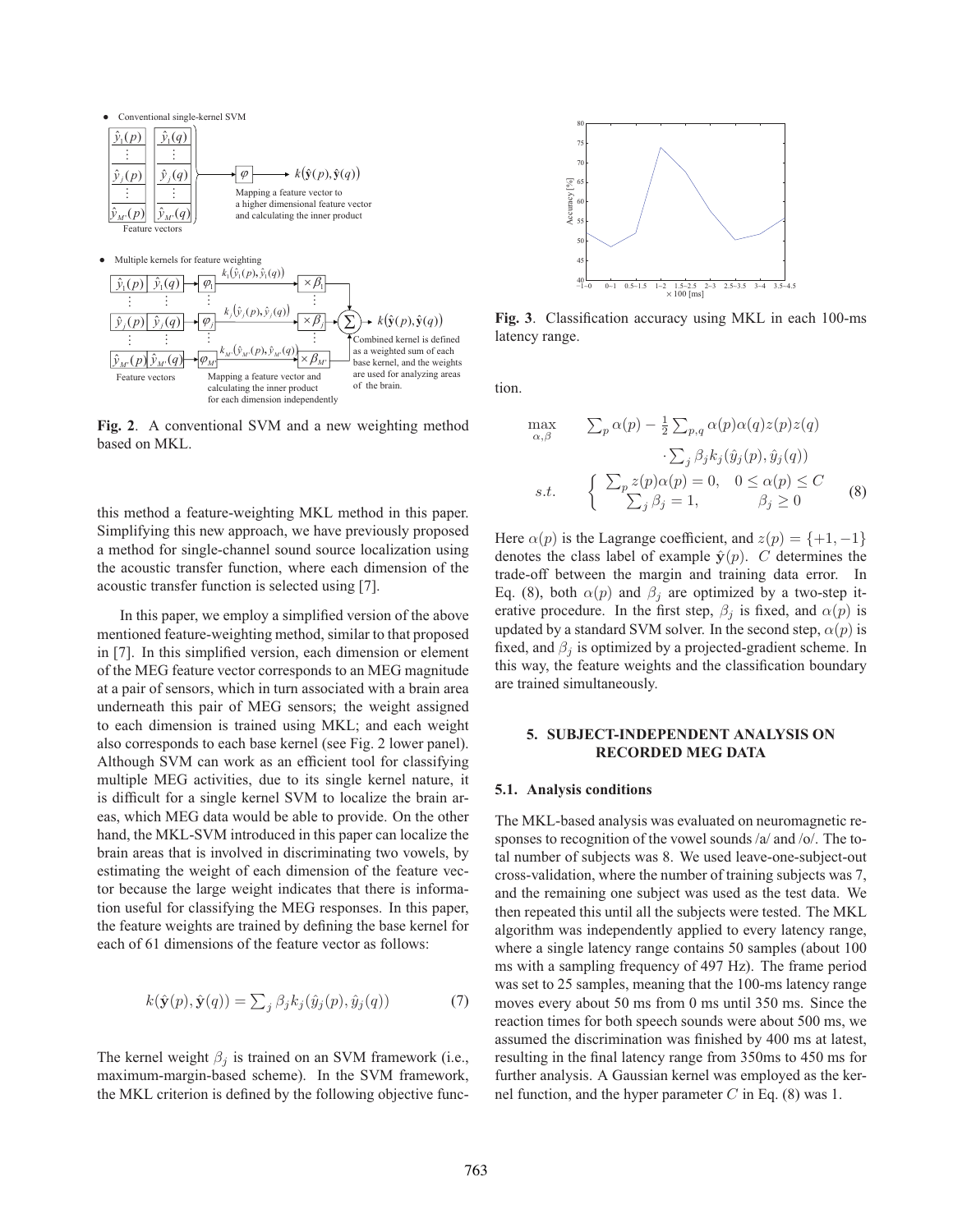

**Fig. 2**. A conventional SVM and a new weighting method based on MKL.

this method a feature-weighting MKL method in this paper. Simplifying this new approach, we have previously proposed a method for single-channel sound source localization using the acoustic transfer function, where each dimension of the acoustic transfer function is selected using [7].

In this paper, we employ a simplified version of the above mentioned feature-weighting method, similar to that proposed in [7]. In this simplified version, each dimension or element of the MEG feature vector corresponds to an MEG magnitude at a pair of sensors, which in turn associated with a brain area underneath this pair of MEG sensors; the weight assigned to each dimension is trained using MKL; and each weight also corresponds to each base kernel (see Fig. 2 lower panel). Although SVM can work as an efficient tool for classifying multiple MEG activities, due to its single kernel nature, it is difficult for a single kernel SVM to localize the brain areas, which MEG data would be able to provide. On the other hand, the MKL-SVM introduced in this paper can localize the brain areas that is involved in discriminating two vowels, by estimating the weight of each dimension of the feature vector because the large weight indicates that there is information useful for classifying the MEG responses. In this paper, the feature weights are trained by defining the base kernel for each of 61 dimensions of the feature vector as follows:

$$
k(\hat{\mathbf{y}}(p), \hat{\mathbf{y}}(q)) = \sum_{j} \beta_j k_j(\hat{y}_j(p), \hat{y}_j(q))
$$
(7)

The kernel weight  $\beta_i$  is trained on an SVM framework (i.e., maximum-margin-based scheme). In the SVM framework, the MKL criterion is defined by the following objective func-



**Fig. 3**. Classification accuracy using MKL in each 100-ms latency range.

tion.

$$
\max_{\alpha,\beta} \qquad \sum_{p} \alpha(p) - \frac{1}{2} \sum_{p,q} \alpha(p)\alpha(q)z(p)z(q) \n\cdot \sum_{j} \beta_{j}k_{j}(\hat{y}_{j}(p), \hat{y}_{j}(q)) \ns.t. \qquad \begin{cases} \sum_{p} z(p)\alpha(p) = 0, & 0 \le \alpha(p) \le C \\ \sum_{j} \beta_{j} = 1, & \beta_{j} \ge 0 \end{cases}
$$
(8)

Here  $\alpha(p)$  is the Lagrange coefficient, and  $z(p) = \{+1, -1\}$ denotes the class label of example  $\hat{y}(p)$ . *C* determines the trade-off between the margin and training data error. In Eq. (8), both  $\alpha(p)$  and  $\beta_j$  are optimized by a two-step iterative procedure. In the first step,  $\beta_i$  is fixed, and  $\alpha(p)$  is updated by a standard SVM solver. In the second step,  $\alpha(p)$  is fixed, and  $\beta_i$  is optimized by a projected-gradient scheme. In this way, the feature weights and the classification boundary are trained simultaneously.

## **5. SUBJECT-INDEPENDENT ANALYSIS ON RECORDED MEG DATA**

#### **5.1. Analysis conditions**

The MKL-based analysis was evaluated on neuromagnetic responses to recognition of the vowel sounds /a/ and /o/. The total number of subjects was 8. We used leave-one-subject-out cross-validation, where the number of training subjects was 7, and the remaining one subject was used as the test data. We then repeated this until all the subjects were tested. The MKL algorithm was independently applied to every latency range, where a single latency range contains 50 samples (about 100 ms with a sampling frequency of 497 Hz). The frame period was set to 25 samples, meaning that the 100-ms latency range moves every about 50 ms from 0 ms until 350 ms. Since the reaction times for both speech sounds were about 500 ms, we assumed the discrimination was finished by 400 ms at latest, resulting in the final latency range from 350ms to 450 ms for further analysis. A Gaussian kernel was employed as the kernel function, and the hyper parameter *C* in Eq. (8) was 1.